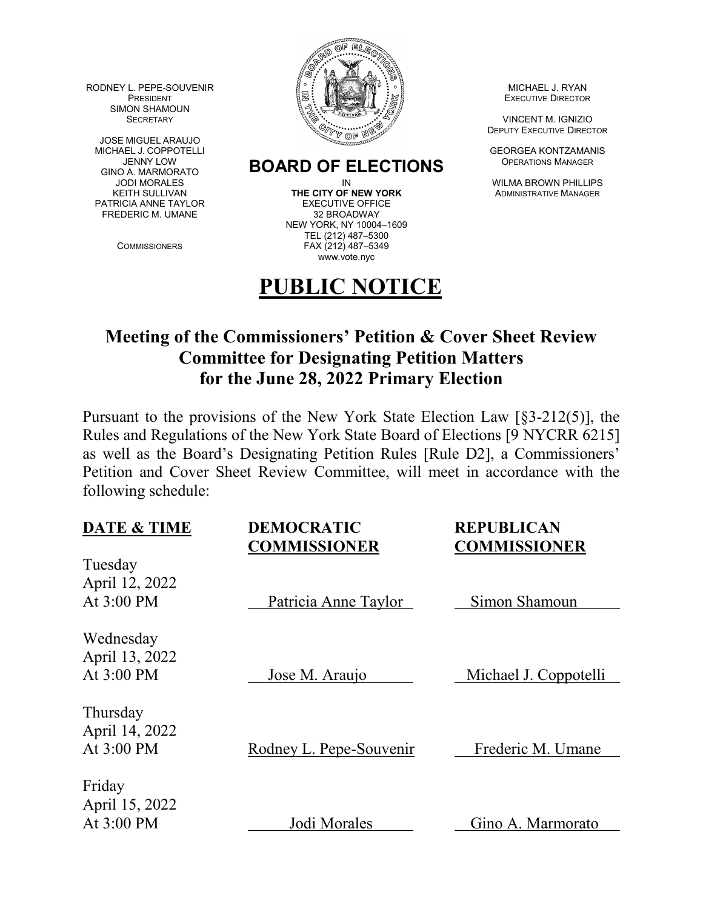RODNEY L. PEPE-SOUVENIR AND MICHAEL J. RYAN SIMON SHAMOUN

JOSE MIGUEL ARAUJO<br>MICHAEL J. COPPOTELLI GINO A. MARMORATO PATRICIA ANNE TAYLOR EXECUTIVE OFFIC<br>FREDERIC M. UMANE 32 BROADWAY FREDERIC M. UMANE



## JENNY LOW **BOARD OF ELECTIONS** OPERATIONS MANAGER<br>JODI MORALES MANAGER DIN IN THELLIF

KEITH SULLIVAN **THE CITY OF NEW YORK** ADMINISTRATIVE MANAGER<br>TRICIA ANNE TAYLOR **EXECUTIVE OFFICE** NEW YORK, NY 10004–1609 TEL (212) 487–5300 COMMISSIONERS FAX (212) 487–5349 www.vote.nyc

## **PUBLIC NOTICE**

DEPUTY EXECUTIVE DIRECTOR

**GEORGEA KONTZAMANIS** 

IN WILMA BROWN PHILLIPS

## **Meeting of the Commissioners' Petition & Cover Sheet Review Committee for Designating Petition Matters for the June 28, 2022 Primary Election**

Pursuant to the provisions of the New York State Election Law [§3-212(5)], the Rules and Regulations of the New York State Board of Elections [9 NYCRR 6215] as well as the Board's Designating Petition Rules [Rule D2], a Commissioners' Petition and Cover Sheet Review Committee, will meet in accordance with the following schedule:

| <b>DATE &amp; TIME</b>                    | <b>DEMOCRATIC</b><br><b>COMMISSIONER</b> | <b>REPUBLICAN</b><br><b>COMMISSIONER</b> |
|-------------------------------------------|------------------------------------------|------------------------------------------|
| Tuesday<br>April 12, 2022<br>At $3:00$ PM | Patricia Anne Taylor                     | Simon Shamoun                            |
| Wednesday<br>April 13, 2022<br>At 3:00 PM | Jose M. Araujo                           | Michael J. Coppotelli                    |
| Thursday<br>April 14, 2022<br>At 3:00 PM  | Rodney L. Pepe-Souvenir                  | Frederic M. Umane                        |
| Friday<br>April 15, 2022<br>At 3:00 PM    | Jodi Morales                             | Gino A. Marmorato                        |